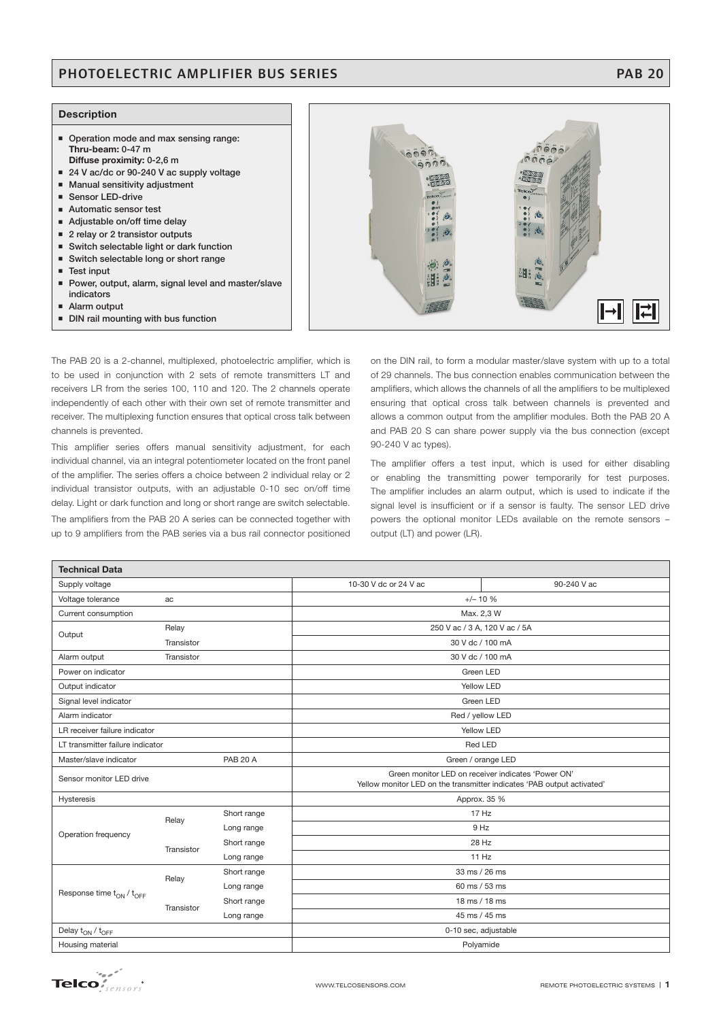## PHOTOELECTRIC AMPLIFIER BUS SERIES **PHOTOELECTRIC AMPLIFIER BUS SERIES**

### **Description**

- **Operation mode and max sensing range: Thru-beam: 0-47 m Diffuse proximity: 0-2,6 m**
- 
- 24 V ac/dc or 90-240 V ac supply voltage - **Manual sensitivity adjustment**
- -**Sensor LED-drive**
- Automatic sensor test
- Adjustable on/off time delay
- 2 relay or 2 transistor outputs
- **Switch selectable light or dark function**
- **Switch selectable long or short range**
- **Test input**
- **Power, output, alarm, signal level and master/slave indicators**
- -**Alarm output**
- -**DIN rail mounting with bus function**

 $\tilde{\mathbf{0}}$  $\tilde{\mathbf{0}}$  $\tilde{\mathbf{0}}$  $\bar{q}$  $\bar{q}$ ಿದಿರಿಂ **1000**  $\boxed{\rightarrow}$  $\boxed{\rightleftarrows}$ on the DIN rail, to form a modular master/slave system with up to a total

**GOOD** 

 $0e\ddot{\theta}$ 

The PAB 20 is a 2-channel, multiplexed, photoelectric amplifier, which is to be used in conjunction with 2 sets of remote transmitters LT and receivers LR from the series 100, 110 and 120. The 2 channels operate independently of each other with their own set of remote transmitter and receiver. The multiplexing function ensures that optical cross talk between channels is prevented.

This amplifier series offers manual sensitivity adjustment, for each individual channel, via an integral potentiometer located on the front panel of the amplifier. The series offers a choice between 2 individual relay or 2 individual transistor outputs, with an adjustable 0-10 sec on/off time delay. Light or dark function and long or short range are switch selectable. The amplifiers from the PAB 20 A series can be connected together with up to 9 amplifiers from the PAB series via a bus rail connector positioned

of 29 channels. The bus connection enables communication between the amplifiers, which allows the channels of all the amplifiers to be multiplexed ensuring that optical cross talk between channels is prevented and allows a common output from the amplifier modules. Both the PAB 20 A and PAB 20 S can share power supply via the bus connection (except 90-240 V ac types).

The amplifier offers a test input, which is used for either disabling or enabling the transmitting power temporarily for test purposes. The amplifier includes an alarm output, which is used to indicate if the signal level is insufficient or if a sensor is faulty. The sensor LED drive powers the optional monitor LEDs available on the remote sensors – output (LT) and power (LR).

| <b>Technical Data</b>                      |            |             |                                                                                                                              |                  |  |  |
|--------------------------------------------|------------|-------------|------------------------------------------------------------------------------------------------------------------------------|------------------|--|--|
| Supply voltage                             |            |             | 10-30 V dc or 24 V ac                                                                                                        | 90-240 V ac      |  |  |
| Voltage tolerance<br>ac                    |            |             | $+/- 10 %$                                                                                                                   |                  |  |  |
| Current consumption                        |            |             |                                                                                                                              | Max. 2,3 W       |  |  |
| Output                                     | Relay      |             | 250 V ac / 3 A, 120 V ac / 5A                                                                                                |                  |  |  |
|                                            | Transistor |             | 30 V dc / 100 mA                                                                                                             |                  |  |  |
| Alarm output                               | Transistor |             | 30 V dc / 100 mA                                                                                                             |                  |  |  |
| Power on indicator                         |            |             | Green LED                                                                                                                    |                  |  |  |
| Output indicator                           |            |             | Yellow LED                                                                                                                   |                  |  |  |
| Signal level indicator                     |            |             | Green LED                                                                                                                    |                  |  |  |
| Alarm indicator                            |            |             |                                                                                                                              | Red / yellow LED |  |  |
| LR receiver failure indicator              |            |             | Yellow LED                                                                                                                   |                  |  |  |
| LT transmitter failure indicator           |            |             | <b>Red LED</b>                                                                                                               |                  |  |  |
| <b>PAB 20 A</b><br>Master/slave indicator  |            |             | Green / orange LED                                                                                                           |                  |  |  |
| Sensor monitor LED drive                   |            |             | Green monitor LED on receiver indicates 'Power ON'<br>Yellow monitor LED on the transmitter indicates 'PAB output activated' |                  |  |  |
| <b>Hysteresis</b>                          |            |             | Approx. 35 %                                                                                                                 |                  |  |  |
| Operation frequency                        | Relay      | Short range |                                                                                                                              | 17 Hz            |  |  |
|                                            |            | Long range  |                                                                                                                              | 9 Hz             |  |  |
|                                            | Transistor | Short range |                                                                                                                              | 28 Hz            |  |  |
|                                            |            | Long range  |                                                                                                                              | 11 Hz            |  |  |
| Response time $\rm t_{ON}$ / $\rm t_{OFF}$ | Relay      | Short range |                                                                                                                              | 33 ms / 26 ms    |  |  |
|                                            |            | Long range  |                                                                                                                              | 60 ms / 53 ms    |  |  |
|                                            | Transistor | Short range |                                                                                                                              | 18 ms / 18 ms    |  |  |
|                                            |            | Long range  |                                                                                                                              | 45 ms / 45 ms    |  |  |
| Delay t <sub>ON</sub> / t <sub>OFF</sub>   |            |             | 0-10 sec, adjustable                                                                                                         |                  |  |  |
| Housing material                           |            | Polyamide   |                                                                                                                              |                  |  |  |

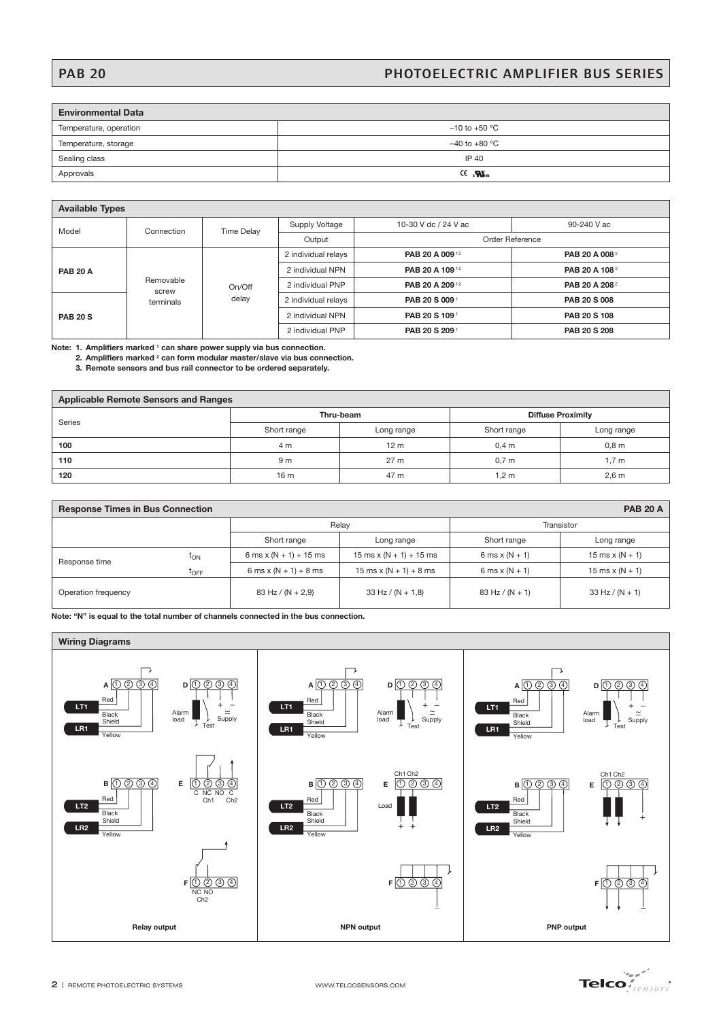# PAB 20 PHOTOELECTRIC AMPLIFIER BUS SERIES

 $\overline{\phantom{a}}$ 

| <b>Environmental Data</b> |                       |  |  |  |
|---------------------------|-----------------------|--|--|--|
| Temperature, operation    | $-10$ to $+50$ °C     |  |  |  |
| Temperature, storage      | $-40$ to $+80$ °C     |  |  |  |
| Sealing class             | IP 40                 |  |  |  |
| Approvals                 | CE 257L <sub>us</sub> |  |  |  |

## **Available Types**

| <b>Available Types</b> |                                 |                   |                     |                      |                           |  |
|------------------------|---------------------------------|-------------------|---------------------|----------------------|---------------------------|--|
| Model                  | Connection                      | <b>Time Delay</b> | Supply Voltage      | 10-30 V dc / 24 V ac | 90-240 V ac               |  |
|                        |                                 |                   | Output              |                      | Order Reference           |  |
| <b>PAB 20 A</b>        | Removable<br>screw<br>terminals | On/Off<br>delay   | 2 individual relays | PAB 20 A 00912       | PAB 20 A 008 <sup>2</sup> |  |
|                        |                                 |                   | 2 individual NPN    | PAB 20 A 109 12      | PAB 20 A 108 <sup>2</sup> |  |
|                        |                                 |                   | 2 individual PNP    | PAB 20 A 20912       | PAB 20 A 208 <sup>2</sup> |  |
|                        |                                 |                   | 2 individual relays | PAB 20 S 009         | PAB 20 S 008              |  |
| <b>PAB 20 S</b>        |                                 |                   | 2 individual NPN    | PAB 20 S 109         | PAB 20 S 108              |  |
|                        |                                 |                   | 2 individual PNP    | PAB 20 S 209         | PAB 20 S 208              |  |
|                        |                                 |                   |                     |                      |                           |  |

**Note: 1. Amplifiers marked 1 can share power supply via bus connection.**

- **2. Amplifiers marked 2 can form modular master/slave via bus connection.**
- **3. Remote sensors and bus rail connector to be ordered separately.**

| <b>Applicable Remote Sensors and Ranges</b> |                 |                 |                          |                  |  |
|---------------------------------------------|-----------------|-----------------|--------------------------|------------------|--|
| <b>Series</b>                               |                 | Thru-beam       | <b>Diffuse Proximity</b> |                  |  |
|                                             | Short range     | Long range      | Short range              | Long range       |  |
| 100                                         | 4 m             | 12 <sub>m</sub> | 0.4 <sub>m</sub>         | 0,8 <sub>m</sub> |  |
| 110                                         | 9 m             | 27 <sub>m</sub> | 0.7 <sub>m</sub>         | $1,7$ m          |  |
| 120                                         | 16 <sub>m</sub> | 47 m            | 1.2 <sub>m</sub>         | 2,6 m            |  |

| <b>PAB 20 A</b><br><b>Response Times in Bus Connection</b> |                     |                          |                                                |                   |                   |  |
|------------------------------------------------------------|---------------------|--------------------------|------------------------------------------------|-------------------|-------------------|--|
|                                                            |                     | Relav                    |                                                | Transistor        |                   |  |
|                                                            |                     | Short range              | Long range                                     | Short range       | Long range        |  |
| Response time                                              | $t_{ON}$            | 6 ms x $(N + 1) + 15$ ms | $15 \text{ ms} \times (N + 1) + 15 \text{ ms}$ | 6 ms $x(N + 1)$   | 15 ms x $(N + 1)$ |  |
|                                                            | $\tau_{\text{OFF}}$ | 6 ms x $(N + 1) + 8$ ms  | 15 ms x $(N + 1) + 8$ ms                       | 6 ms $x(N + 1)$   | 15 ms x $(N + 1)$ |  |
| Operation frequency                                        |                     | 83 Hz / $(N + 2,9)$      | $33$ Hz / (N + 1,8)                            | 83 Hz / $(N + 1)$ | $33$ Hz / (N + 1) |  |

**Note: "N" is equal to the total number of channels connected in the bus connection.**